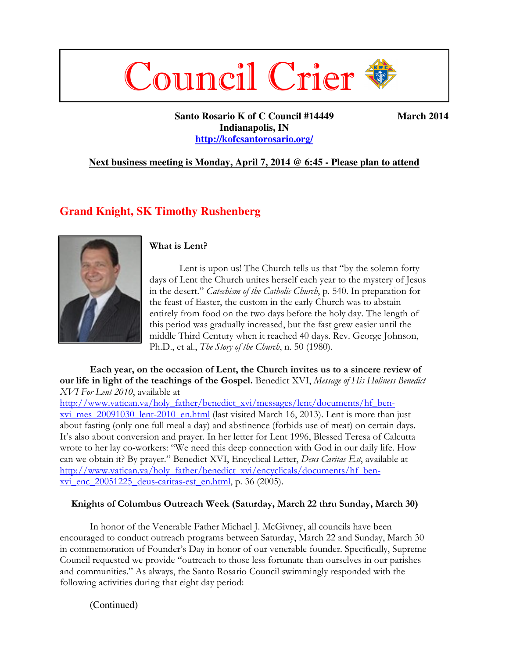# Council Crier

 **Santo Rosario K of C Council #14449 March 2014 Indianapolis, IN http://kofcsantorosario.org/**

#### **Next business meeting is Monday, April 7, 2014 @ 6:45 - Please plan to attend**

#### **Grand Knight, SK Timothy Rushenberg**



#### **What is Lent?**

Lent is upon us! The Church tells us that "by the solemn forty days of Lent the Church unites herself each year to the mystery of Jesus in the desert." *Catechism of the Catholic Church*, p. 540. In preparation for the feast of Easter, the custom in the early Church was to abstain entirely from food on the two days before the holy day. The length of this period was gradually increased, but the fast grew easier until the middle Third Century when it reached 40 days. Rev. George Johnson, Ph.D., et al., *The Story of the Church*, n. 50 (1980).

#### **Each year, on the occasion of Lent, the Church invites us to a sincere review of our life in light of the teachings of the Gospel.** Benedict XVI, *Message of His Holiness Benedict XVI For Lent 2010*, available at

http://www.vatican.va/holy\_father/benedict\_xvi/messages/lent/documents/hf\_benxvi\_mes\_20091030\_lent-2010\_en.html (last visited March 16, 2013). Lent is more than just about fasting (only one full meal a day) and abstinence (forbids use of meat) on certain days. It's also about conversion and prayer. In her letter for Lent 1996, Blessed Teresa of Calcutta wrote to her lay co-workers: "We need this deep connection with God in our daily life. How can we obtain it? By prayer." Benedict XVI, Encyclical Letter, *Deus Caritas Est*, available at http://www.vatican.va/holy\_father/benedict\_xvi/encyclicals/documents/hf\_benxvi\_enc\_20051225\_deus-caritas-est\_en.html, p. 36 (2005).

#### **Knights of Columbus Outreach Week (Saturday, March 22 thru Sunday, March 30)**

In honor of the Venerable Father Michael J. McGivney, all councils have been encouraged to conduct outreach programs between Saturday, March 22 and Sunday, March 30 in commemoration of Founder's Day in honor of our venerable founder. Specifically, Supreme Council requested we provide "outreach to those less fortunate than ourselves in our parishes and communities." As always, the Santo Rosario Council swimmingly responded with the following activities during that eight day period:

(Continued)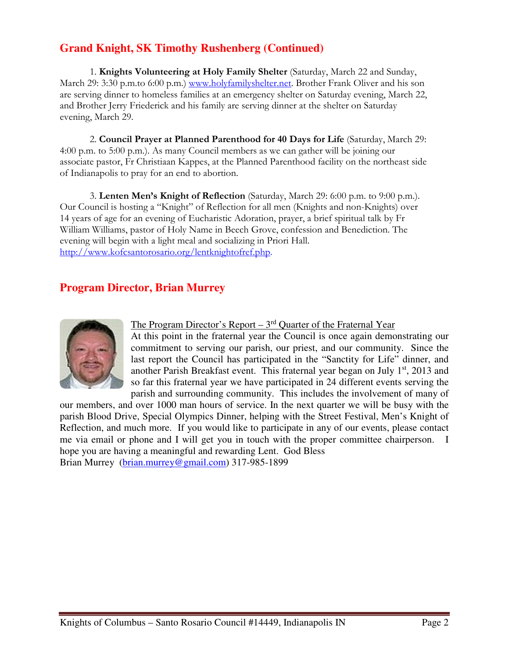# **Grand Knight, SK Timothy Rushenberg (Continued)**

1. **Knights Volunteering at Holy Family Shelter** (Saturday, March 22 and Sunday, March 29: 3:30 p.m.to 6:00 p.m.) www.holyfamilyshelter.net. Brother Frank Oliver and his son are serving dinner to homeless families at an emergency shelter on Saturday evening, March 22, and Brother Jerry Friederick and his family are serving dinner at the shelter on Saturday evening, March 29.

2. **Council Prayer at Planned Parenthood for 40 Days for Life** (Saturday, March 29: 4:00 p.m. to 5:00 p.m.). As many Council members as we can gather will be joining our associate pastor, Fr Christiaan Kappes, at the Planned Parenthood facility on the northeast side of Indianapolis to pray for an end to abortion.

3. **Lenten Men's Knight of Reflection** (Saturday, March 29: 6:00 p.m. to 9:00 p.m.). Our Council is hosting a "Knight" of Reflection for all men (Knights and non-Knights) over 14 years of age for an evening of Eucharistic Adoration, prayer, a brief spiritual talk by Fr William Williams, pastor of Holy Name in Beech Grove, confession and Benediction. The evening will begin with a light meal and socializing in Priori Hall. http://www.kofcsantorosario.org/lentknightofref.php.

## **Program Director, Brian Murrey**



The Program Director's Report – 3<sup>rd</sup> Quarter of the Fraternal Year

At this point in the fraternal year the Council is once again demonstrating our commitment to serving our parish, our priest, and our community. Since the last report the Council has participated in the "Sanctity for Life" dinner, and another Parish Breakfast event. This fraternal year began on July  $1<sup>st</sup>$ , 2013 and so far this fraternal year we have participated in 24 different events serving the parish and surrounding community. This includes the involvement of many of

our members, and over 1000 man hours of service. In the next quarter we will be busy with the parish Blood Drive, Special Olympics Dinner, helping with the Street Festival, Men's Knight of Reflection, and much more. If you would like to participate in any of our events, please contact me via email or phone and I will get you in touch with the proper committee chairperson. I hope you are having a meaningful and rewarding Lent. God Bless Brian Murrey (brian.murrey@gmail.com) 317-985-1899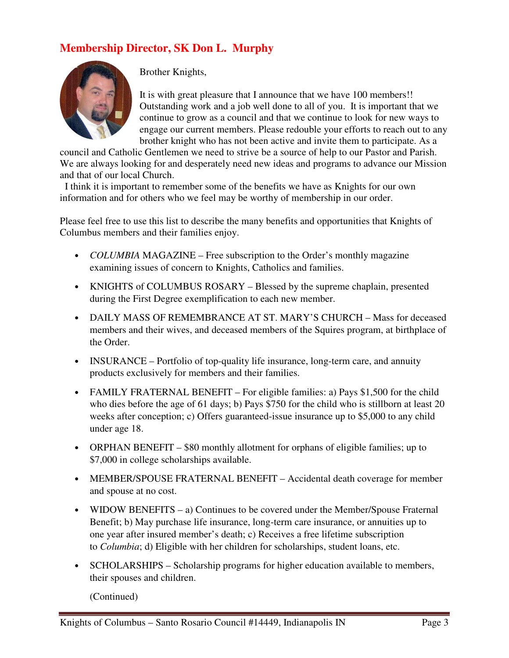# **Membership Director, SK Don L. Murphy**



Brother Knights,

It is with great pleasure that I announce that we have 100 members!! Outstanding work and a job well done to all of you. It is important that we continue to grow as a council and that we continue to look for new ways to engage our current members. Please redouble your efforts to reach out to any brother knight who has not been active and invite them to participate. As a

council and Catholic Gentlemen we need to strive be a source of help to our Pastor and Parish. We are always looking for and desperately need new ideas and programs to advance our Mission and that of our local Church.

 I think it is important to remember some of the benefits we have as Knights for our own information and for others who we feel may be worthy of membership in our order.

Please feel free to use this list to describe the many benefits and opportunities that Knights of Columbus members and their families enjoy.

- *COLUMBIA* MAGAZINE Free subscription to the Order's monthly magazine examining issues of concern to Knights, Catholics and families.
- KNIGHTS of COLUMBUS ROSARY Blessed by the supreme chaplain, presented during the First Degree exemplification to each new member.
- DAILY MASS OF REMEMBRANCE AT ST. MARY'S CHURCH Mass for deceased members and their wives, and deceased members of the Squires program, at birthplace of the Order.
- INSURANCE Portfolio of top-quality life insurance, long-term care, and annuity products exclusively for members and their families.
- FAMILY FRATERNAL BENEFIT For eligible families: a) Pays \$1,500 for the child who dies before the age of 61 days; b) Pays \$750 for the child who is stillborn at least 20 weeks after conception; c) Offers guaranteed-issue insurance up to \$5,000 to any child under age 18.
- ORPHAN BENEFIT \$80 monthly allotment for orphans of eligible families; up to \$7,000 in college scholarships available.
- MEMBER/SPOUSE FRATERNAL BENEFIT Accidental death coverage for member and spouse at no cost.
- WIDOW BENEFITS a) Continues to be covered under the Member/Spouse Fraternal Benefit; b) May purchase life insurance, long-term care insurance, or annuities up to one year after insured member's death; c) Receives a free lifetime subscription to *Columbia*; d) Eligible with her children for scholarships, student loans, etc.
- SCHOLARSHIPS Scholarship programs for higher education available to members, their spouses and children.

(Continued)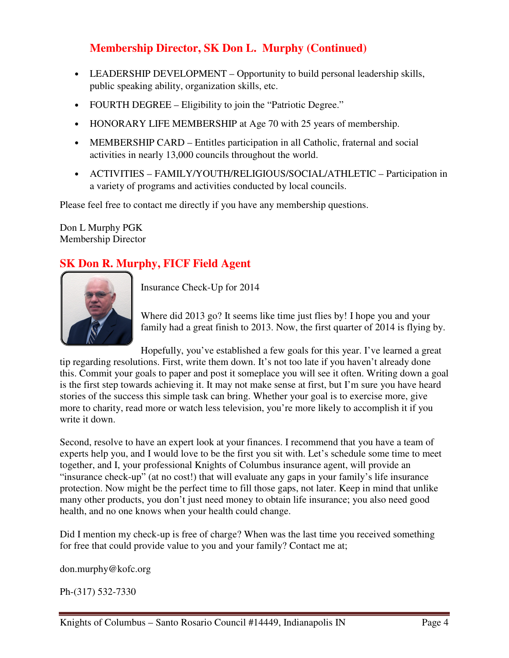# **Membership Director, SK Don L. Murphy (Continued)**

- LEADERSHIP DEVELOPMENT Opportunity to build personal leadership skills, public speaking ability, organization skills, etc.
- FOURTH DEGREE Eligibility to join the "Patriotic Degree."
- HONORARY LIFE MEMBERSHIP at Age 70 with 25 years of membership.
- MEMBERSHIP CARD Entitles participation in all Catholic, fraternal and social activities in nearly 13,000 councils throughout the world.
- ACTIVITIES FAMILY/YOUTH/RELIGIOUS/SOCIAL/ATHLETIC Participation in a variety of programs and activities conducted by local councils.

Please feel free to contact me directly if you have any membership questions.

Don L Murphy PGK Membership Director

## **SK Don R. Murphy, FICF Field Agent**



Insurance Check-Up for 2014

Where did 2013 go? It seems like time just flies by! I hope you and your family had a great finish to 2013. Now, the first quarter of 2014 is flying by.

Hopefully, you've established a few goals for this year. I've learned a great tip regarding resolutions. First, write them down. It's not too late if you haven't already done this. Commit your goals to paper and post it someplace you will see it often. Writing down a goal is the first step towards achieving it. It may not make sense at first, but I'm sure you have heard stories of the success this simple task can bring. Whether your goal is to exercise more, give more to charity, read more or watch less television, you're more likely to accomplish it if you write it down.

Second, resolve to have an expert look at your finances. I recommend that you have a team of experts help you, and I would love to be the first you sit with. Let's schedule some time to meet together, and I, your professional Knights of Columbus insurance agent, will provide an "insurance check-up" (at no cost!) that will evaluate any gaps in your family's life insurance protection. Now might be the perfect time to fill those gaps, not later. Keep in mind that unlike many other products, you don't just need money to obtain life insurance; you also need good health, and no one knows when your health could change.

Did I mention my check-up is free of charge? When was the last time you received something for free that could provide value to you and your family? Contact me at;

don.murphy@kofc.org

Ph-(317) 532-7330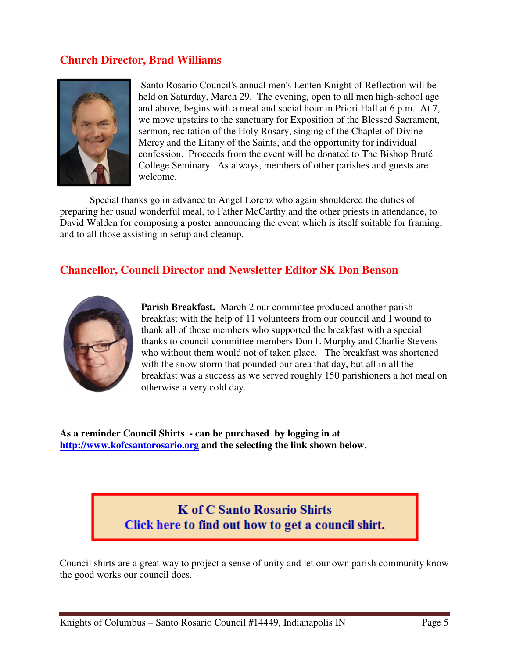#### **Church Director, Brad Williams**



 Santo Rosario Council's annual men's Lenten Knight of Reflection will be held on Saturday, March 29. The evening, open to all men high-school age and above, begins with a meal and social hour in Priori Hall at 6 p.m. At 7, we move upstairs to the sanctuary for Exposition of the Blessed Sacrament, sermon, recitation of the Holy Rosary, singing of the Chaplet of Divine Mercy and the Litany of the Saints, and the opportunity for individual confession. Proceeds from the event will be donated to The Bishop Bruté College Seminary. As always, members of other parishes and guests are welcome.

 Special thanks go in advance to Angel Lorenz who again shouldered the duties of preparing her usual wonderful meal, to Father McCarthy and the other priests in attendance, to David Walden for composing a poster announcing the event which is itself suitable for framing, and to all those assisting in setup and cleanup.

#### **Chancellor, Council Director and Newsletter Editor SK Don Benson**



**Parish Breakfast.** March 2 our committee produced another parish breakfast with the help of 11 volunteers from our council and I wound to thank all of those members who supported the breakfast with a special thanks to council committee members Don L Murphy and Charlie Stevens who without them would not of taken place. The breakfast was shortened with the snow storm that pounded our area that day, but all in all the breakfast was a success as we served roughly 150 parishioners a hot meal on otherwise a very cold day.

**As a reminder Council Shirts - can be purchased by logging in at http://www.kofcsantorosario.org and the selecting the link shown below.**

# **K** of C Santo Rosario Shirts Click here to find out how to get a council shirt.

Council shirts are a great way to project a sense of unity and let our own parish community know the good works our council does.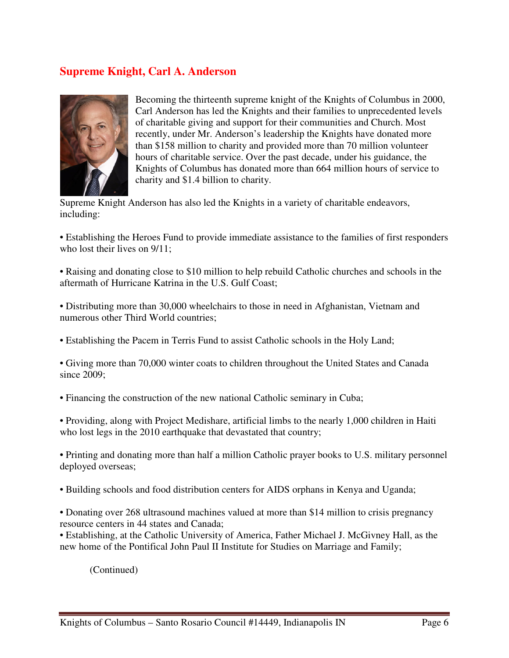### **Supreme Knight, Carl A. Anderson**



Becoming the thirteenth supreme knight of the Knights of Columbus in 2000, Carl Anderson has led the Knights and their families to unprecedented levels of charitable giving and support for their communities and Church. Most recently, under Mr. Anderson's leadership the Knights have donated more than \$158 million to charity and provided more than 70 million volunteer hours of charitable service. Over the past decade, under his guidance, the Knights of Columbus has donated more than 664 million hours of service to charity and \$1.4 billion to charity.

Supreme Knight Anderson has also led the Knights in a variety of charitable endeavors, including:

• Establishing the Heroes Fund to provide immediate assistance to the families of first responders who lost their lives on  $9/11$ :

• Raising and donating close to \$10 million to help rebuild Catholic churches and schools in the aftermath of Hurricane Katrina in the U.S. Gulf Coast;

• Distributing more than 30,000 wheelchairs to those in need in Afghanistan, Vietnam and numerous other Third World countries;

• Establishing the Pacem in Terris Fund to assist Catholic schools in the Holy Land;

• Giving more than 70,000 winter coats to children throughout the United States and Canada since 2009;

• Financing the construction of the new national Catholic seminary in Cuba;

• Providing, along with Project Medishare, artificial limbs to the nearly 1,000 children in Haiti who lost legs in the 2010 earthquake that devastated that country;

• Printing and donating more than half a million Catholic prayer books to U.S. military personnel deployed overseas;

• Building schools and food distribution centers for AIDS orphans in Kenya and Uganda;

• Donating over 268 ultrasound machines valued at more than \$14 million to crisis pregnancy resource centers in 44 states and Canada;

• Establishing, at the Catholic University of America, Father Michael J. McGivney Hall, as the new home of the Pontifical John Paul II Institute for Studies on Marriage and Family;

(Continued)